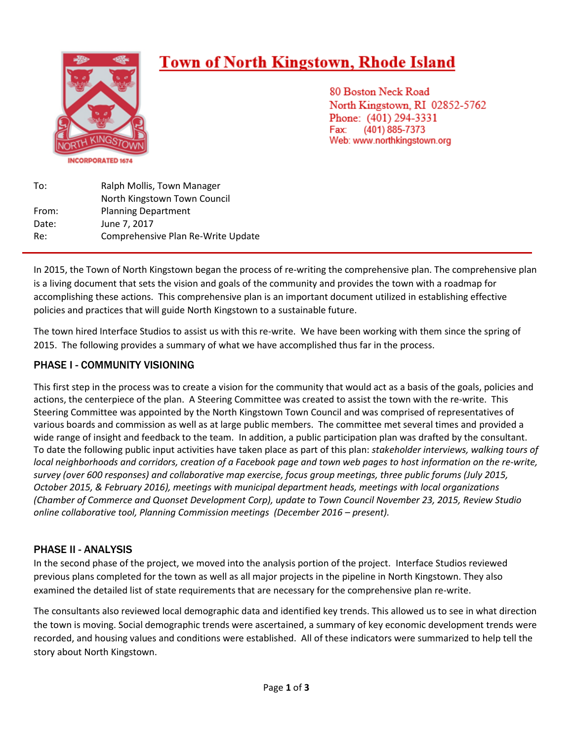# **Town of North Kingstown, Rhode Island** 80 Boston Neck Road North Kingstown, RI 02852-5762 Phone: (401) 294-3331 (401) 885-7373 Fax: Web: www.northkingstown.org **INCORPORATED 1674** To: Ralph Mollis, Town Manager

North Kingstown Town Council From: Planning Department Date: June 7, 2017 Re: Comprehensive Plan Re-Write Update

In 2015, the Town of North Kingstown began the process of re-writing the comprehensive plan. The comprehensive plan is a living document that sets the vision and goals of the community and provides the town with a roadmap for accomplishing these actions. This comprehensive plan is an important document utilized in establishing effective policies and practices that will guide North Kingstown to a sustainable future.

The town hired Interface Studios to assist us with this re-write. We have been working with them since the spring of 2015. The following provides a summary of what we have accomplished thus far in the process.

### PHASE I - COMMUNITY VISIONING

This first step in the process was to create a vision for the community that would act as a basis of the goals, policies and actions, the centerpiece of the plan. A Steering Committee was created to assist the town with the re-write. This Steering Committee was appointed by the North Kingstown Town Council and was comprised of representatives of various boards and commission as well as at large public members. The committee met several times and provided a wide range of insight and feedback to the team. In addition, a public participation plan was drafted by the consultant. To date the following public input activities have taken place as part of this plan: *stakeholder interviews, walking tours of local neighborhoods and corridors, creation of a Facebook page and town web pages to host information on the re-write, survey (over 600 responses) and collaborative map exercise, focus group meetings, three public forums (July 2015, October 2015, & February 2016), meetings with municipal department heads, meetings with local organizations (Chamber of Commerce and Quonset Development Corp), update to Town Council November 23, 2015, Review Studio online collaborative tool, Planning Commission meetings (December 2016 – present).* 

### PHASE II - ANALYSIS

In the second phase of the project, we moved into the analysis portion of the project. Interface Studios reviewed previous plans completed for the town as well as all major projects in the pipeline in North Kingstown. They also examined the detailed list of state requirements that are necessary for the comprehensive plan re-write.

The consultants also reviewed local demographic data and identified key trends. This allowed us to see in what direction the town is moving. Social demographic trends were ascertained, a summary of key economic development trends were recorded, and housing values and conditions were established. All of these indicators were summarized to help tell the story about North Kingstown.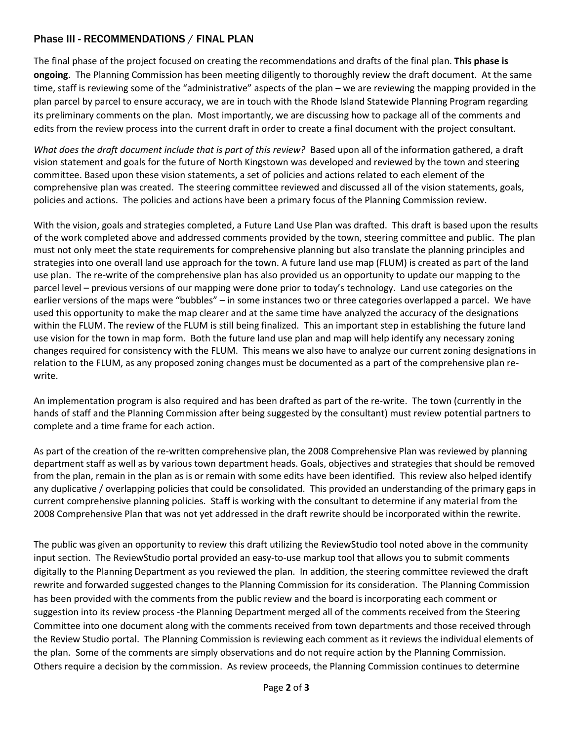#### Phase III - RECOMMENDATIONS / FINAL PLAN

The final phase of the project focused on creating the recommendations and drafts of the final plan. **This phase is ongoing**. The Planning Commission has been meeting diligently to thoroughly review the draft document. At the same time, staff is reviewing some of the "administrative" aspects of the plan – we are reviewing the mapping provided in the plan parcel by parcel to ensure accuracy, we are in touch with the Rhode Island Statewide Planning Program regarding its preliminary comments on the plan. Most importantly, we are discussing how to package all of the comments and edits from the review process into the current draft in order to create a final document with the project consultant.

*What does the draft document include that is part of this review?* Based upon all of the information gathered, a draft vision statement and goals for the future of North Kingstown was developed and reviewed by the town and steering committee. Based upon these vision statements, a set of policies and actions related to each element of the comprehensive plan was created. The steering committee reviewed and discussed all of the vision statements, goals, policies and actions. The policies and actions have been a primary focus of the Planning Commission review.

With the vision, goals and strategies completed, a Future Land Use Plan was drafted. This draft is based upon the results of the work completed above and addressed comments provided by the town, steering committee and public. The plan must not only meet the state requirements for comprehensive planning but also translate the planning principles and strategies into one overall land use approach for the town. A future land use map (FLUM) is created as part of the land use plan. The re-write of the comprehensive plan has also provided us an opportunity to update our mapping to the parcel level – previous versions of our mapping were done prior to today's technology. Land use categories on the earlier versions of the maps were "bubbles" – in some instances two or three categories overlapped a parcel. We have used this opportunity to make the map clearer and at the same time have analyzed the accuracy of the designations within the FLUM. The review of the FLUM is still being finalized. This an important step in establishing the future land use vision for the town in map form. Both the future land use plan and map will help identify any necessary zoning changes required for consistency with the FLUM. This means we also have to analyze our current zoning designations in relation to the FLUM, as any proposed zoning changes must be documented as a part of the comprehensive plan rewrite.

An implementation program is also required and has been drafted as part of the re-write. The town (currently in the hands of staff and the Planning Commission after being suggested by the consultant) must review potential partners to complete and a time frame for each action.

As part of the creation of the re-written comprehensive plan, the 2008 Comprehensive Plan was reviewed by planning department staff as well as by various town department heads. Goals, objectives and strategies that should be removed from the plan, remain in the plan as is or remain with some edits have been identified. This review also helped identify any duplicative / overlapping policies that could be consolidated. This provided an understanding of the primary gaps in current comprehensive planning policies. Staff is working with the consultant to determine if any material from the 2008 Comprehensive Plan that was not yet addressed in the draft rewrite should be incorporated within the rewrite.

The public was given an opportunity to review this draft utilizing the ReviewStudio tool noted above in the community input section. The ReviewStudio portal provided an easy-to-use markup tool that allows you to submit comments digitally to the Planning Department as you reviewed the plan. In addition, the steering committee reviewed the draft rewrite and forwarded suggested changes to the Planning Commission for its consideration. The Planning Commission has been provided with the comments from the public review and the board is incorporating each comment or suggestion into its review process -the Planning Department merged all of the comments received from the Steering Committee into one document along with the comments received from town departments and those received through the Review Studio portal. The Planning Commission is reviewing each comment as it reviews the individual elements of the plan. Some of the comments are simply observations and do not require action by the Planning Commission. Others require a decision by the commission. As review proceeds, the Planning Commission continues to determine